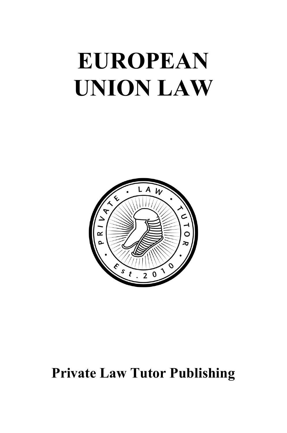# **EUROPEAN UNION LAW**



## **Private Law Tutor Publishing**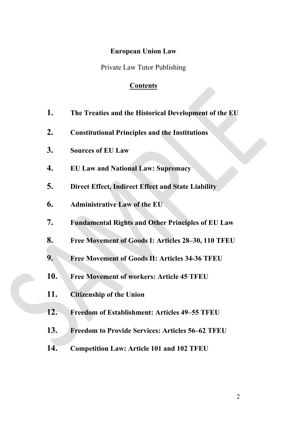### **European Union Law**

Private Law Tutor Publishing

### **Contents**

- **1. The Treaties and the Historical Development of the EU**
- **2. Constitutional Principles and the Institutions**
- **3. Sources of EU Law**
- **4. EU Law and National Law: Supremacy**
- **5. Direct Effect, Indirect Effect and State Liability**
- **6. Administrative Law of the EU**
- **7. Fundamental Rights and Other Principles of EU Law**
- **8. Free Movement of Goods I: Articles 28–30, 110 TFEU**
- **9. Free Movement of Goods II: Articles 34-36 TFEU**
- **10. Free Movement of workers: Article 45 TFEU**
- **11. Citizenship of the Union**
- **12. Freedom of Establishment: Articles 49–55 TFEU**
- **13. Freedom to Provide Services: Articles 56–62 TFEU**
- **14. Competition Law: Article 101 and 102 TFEU**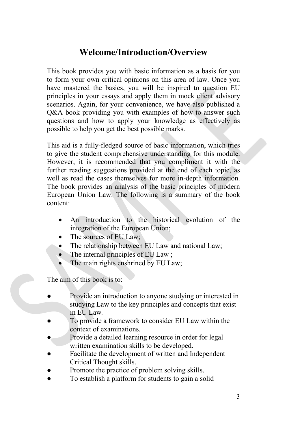### **Welcome/Introduction/Overview**

This book provides you with basic information as a basis for you to form your own critical opinions on this area of law. Once you have mastered the basics, you will be inspired to question EU principles in your essays and apply them in mock client advisory scenarios. Again, for your convenience, we have also published a Q&A book providing you with examples of how to answer such questions and how to apply your knowledge as effectively as possible to help you get the best possible marks.

This aid is a fully-fledged source of basic information, which tries to give the student comprehensive understanding for this module. However, it is recommended that you compliment it with the further reading suggestions provided at the end of each topic, as well as read the cases themselves for more in-depth information. The book provides an analysis of the basic principles of modern European Union Law. The following is a summary of the book content:

- An introduction to the historical evolution of the integration of the European Union;
- The sources of EU Law;
- The relationship between EU Law and national Law;
- The internal principles of EU Law;
- The main rights enshrined by EU Law;

The aim of this book is to:

- Provide an introduction to anyone studying or interested in studying Law to the key principles and concepts that exist in EU Law*.*
- To provide a framework to consider EU Law within the context of examinations.
- Provide a detailed learning resource in order for legal written examination skills to be developed.
- Facilitate the development of written and Independent Critical Thought skills.
- Promote the practice of problem solving skills.
- To establish a platform for students to gain a solid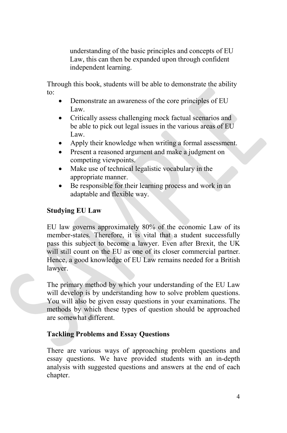understanding of the basic principles and concepts of EU Law, this can then be expanded upon through confident independent learning.

Through this book, students will be able to demonstrate the ability to:

- Demonstrate an awareness of the core principles of EU Law.
- Critically assess challenging mock factual scenarios and be able to pick out legal issues in the various areas of EU Law.
- Apply their knowledge when writing a formal assessment.
- Present a reasoned argument and make a judgment on competing viewpoints.
- Make use of technical legalistic vocabulary in the appropriate manner.
- Be responsible for their learning process and work in an adaptable and flexible way.

### **Studying EU Law**

EU law governs approximately 80% of the economic Law of its member-states. Therefore, it is vital that a student successfully pass this subject to become a lawyer. Even after Brexit, the UK will still count on the EU as one of its closer commercial partner. Hence, a good knowledge of EU Law remains needed for a British lawyer.

The primary method by which your understanding of the EU Law will develop is by understanding how to solve problem questions. You will also be given essay questions in your examinations. The methods by which these types of question should be approached are somewhat different.

### **Tackling Problems and Essay Questions**

There are various ways of approaching problem questions and essay questions. We have provided students with an in-depth analysis with suggested questions and answers at the end of each chapter.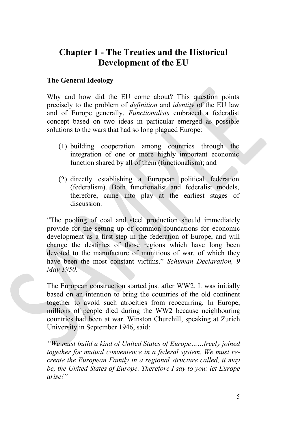### **Chapter 1 - The Treaties and the Historical Development of the EU**

### **The General Ideology**

Why and how did the EU come about? This question points precisely to the problem of *definition* and *identity* of the EU law and of Europe generally. *Functionalists* embraced a federalist concept based on two ideas in particular emerged as possible solutions to the wars that had so long plagued Europe:

- (1) building cooperation among countries through the integration of one or more highly important economic function shared by all of them (functionalism); and
- (2) directly establishing a European political federation (federalism). Both functionalist and federalist models, therefore, came into play at the earliest stages of discussion.

"The pooling of coal and steel production should immediately provide for the setting up of common foundations for economic development as a first step in the federation of Europe, and will change the destinies of those regions which have long been devoted to the manufacture of munitions of war, of which they have been the most constant victims." *Schuman Declaration, 9 May 1950.* 

The European construction started just after WW2. It was initially based on an intention to bring the countries of the old continent together to avoid such atrocities from reoccurring. In Europe, millions of people died during the WW2 because neighbouring countries had been at war. Winston Churchill, speaking at Zurich University in September 1946, said:

*"We must build a kind of United States of Europe……freely joined together for mutual convenience in a federal system. We must recreate the European Family in a regional structure called, it may be, the United States of Europe. Therefore I say to you: let Europe arise!"*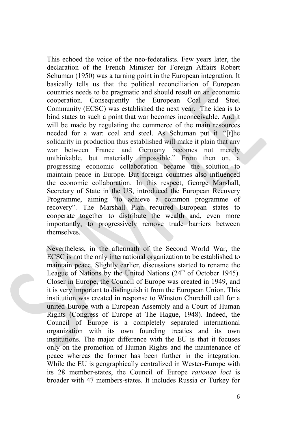This echoed the voice of the neo-federalists. Few years later, the declaration of the French Minister for Foreign Affairs Robert Schuman (1950) was a turning point in the European integration. It basically tells us that the political reconciliation of European countries needs to be pragmatic and should result on an economic cooperation. Consequently the European Coal and Steel Community (ECSC) was established the next year. The idea is to bind states to such a point that war becomes inconceivable. And it will be made by regulating the commerce of the main resources needed for a war: coal and steel. As Schuman put it "[t]he solidarity in production thus established will make it plain that any war between France and Germany becomes not merely unthinkable, but materially impossible." From then on, a progressing economic collaboration became the solution to maintain peace in Europe. But foreign countries also influenced the economic collaboration. In this respect, George Marshall, Secretary of State in the US, introduced the European Recovery Programme, aiming "to achieve a common programme of recovery". The Marshall Plan required European states to cooperate together to distribute the wealth and, even more importantly, to progressively remove trade barriers between themselves.

Nevertheless, in the aftermath of the Second World War, the ECSC is not the only international organization to be established to maintain peace. Slightly earlier, discussions started to rename the League of Nations by the United Nations  $(24<sup>th</sup>$  of October 1945). Closer in Europe, the Council of Europe was created in 1949, and it is very important to distinguish it from the European Union. This institution was created in response to Winston Churchill call for a united Europe with a European Assembly and a Court of Human Rights (Congress of Europe at The Hague, 1948). Indeed, the Council of Europe is a completely separated international organization with its own founding treaties and its own institutions. The major difference with the EU is that it focuses only on the promotion of Human Rights and the maintenance of peace whereas the former has been further in the integration. While the EU is geographically centralized in Wester-Europe with its 28 member-states, the Council of Europe *rationae loci* is broader with 47 members-states. It includes Russia or Turkey for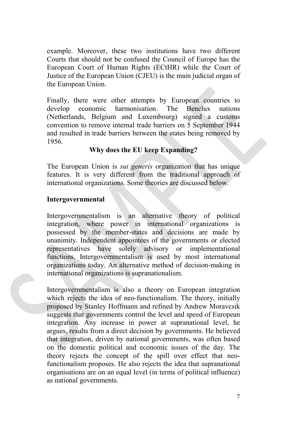example. Moreover, these two institutions have two different Courts that should not be confused the Council of Europe has the European Court of Human Rights (ECtHR) while the Court of Justice of the European Union (CJEU) is the main judicial organ of the European Union.

Finally, there were other attempts by European countries to develop economic harmonisation. The Benelux nations develop economic harmonisation. The Benelux nations (Netherlands, Belgium and Luxembourg) signed a customs convention to remove internal trade barriers on 5 September 1944 and resulted in trade barriers between the states being removed by 1956.

### **Why does the EU keep Expanding?**

The European Union is *sui generis* organization that has unique features. It is very different from the traditional approach of international organizations. Some theories are discussed below.

### **Intergovernmental**

Intergovernmentalism is an alternative theory of political integration, where power in international organizations is possessed by the member-states and decisions are made by unanimity. Independent appointees of the governments or elected representatives have solely advisory or implementational functions. Intergovernmentalism is used by most international organizations today. An alternative method of decision-making in international organizations is supranationalism.

Intergovernmentalism is also a theory on European integration which rejects the idea of neo-functionalism. The theory, initially proposed by Stanley Hoffmann and refined by Andrew Moravcsik suggests that governments control the level and speed of European integration. Any increase in power at supranational level, he argues, results from a direct decision by governments. He believed that integration, driven by national governments, was often based on the domestic political and economic issues of the day. The theory rejects the concept of the spill over effect that neofunctionalism proposes. He also rejects the idea that supranational organisations are on an equal level (in terms of political influence) as national governments.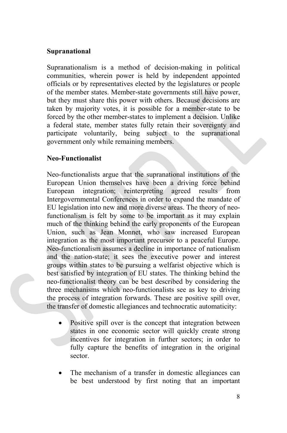### **Supranational**

Supranationalism is a method of decision-making in political communities, wherein power is held by independent appointed officials or by representatives elected by the legislatures or people of the member states. Member-state governments still have power, but they must share this power with others. Because decisions are taken by majority votes, it is possible for a member-state to be forced by the other member-states to implement a decision. Unlike a federal state, member states fully retain their sovereignty and participate voluntarily, being subject to the supranational government only while remaining members.

### **Neo-Functionalist**

Neo-functionalists argue that the supranational institutions of the European Union themselves have been a driving force behind European integration; reinterpreting agreed results from Intergovernmental Conferences in order to expand the mandate of EU legislation into new and more diverse areas. The theory of neofunctionalism is felt by some to be important as it may explain much of the thinking behind the early proponents of the European Union, such as Jean Monnet, who saw increased European integration as the most important precursor to a peaceful Europe. Neo-functionalism assumes a decline in importance of nationalism and the nation-state; it sees the executive power and interest groups within states to be pursuing a welfarist objective which is best satisfied by integration of EU states. The thinking behind the neo-functionalist theory can be best described by considering the three mechanisms which neo-functionalists see as key to driving the process of integration forwards. These are positive spill over, the transfer of domestic allegiances and technocratic automaticity:

- Positive spill over is the concept that integration between states in one economic sector will quickly create strong incentives for integration in further sectors; in order to fully capture the benefits of integration in the original sector.
- The mechanism of a transfer in domestic allegiances can be best understood by first noting that an important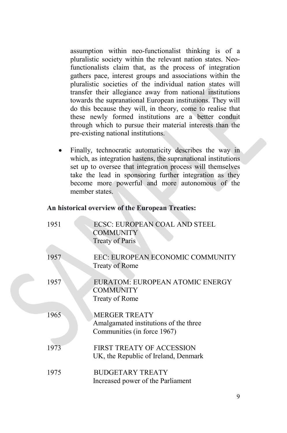assumption within neo-functionalist thinking is of a pluralistic society within the relevant nation states. Neofunctionalists claim that, as the process of integration gathers pace, interest groups and associations within the pluralistic societies of the individual nation states will transfer their allegiance away from national institutions towards the supranational European institutions. They will do this because they will, in theory, come to realise that these newly formed institutions are a better conduit through which to pursue their material interests than the pre-existing national institutions.

Finally, technocratic automaticity describes the way in which, as integration hastens, the supranational institutions set up to oversee that integration process will themselves take the lead in sponsoring further integration as they become more powerful and more autonomous of the member states.

### **An historical overview of the European Treaties:**

| 1951 | <b>ECSC: EUROPEAN COAL AND STEEL</b><br><b>COMMUNITY</b><br><b>Treaty of Paris</b>           |
|------|----------------------------------------------------------------------------------------------|
| 1957 | EEC: EUROPEAN ECONOMIC COMMUNITY<br><b>Treaty of Rome</b>                                    |
| 1957 | EURATOM: EUROPEAN ATOMIC ENERGY<br><b>COMMUNITY</b><br>Treaty of Rome                        |
| 1965 | <b>MERGER TREATY</b><br>Amalgamated institutions of the three<br>Communities (in force 1967) |
| 1973 | <b>FIRST TREATY OF ACCESSION</b><br>UK, the Republic of Ireland, Denmark                     |
| 1975 | <b>BUDGETARY TREATY</b><br>Increased power of the Parliament                                 |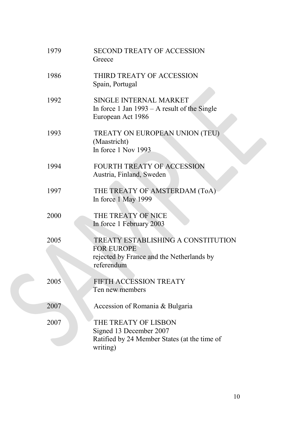| 1979 | <b>SECOND TREATY OF ACCESSION</b><br>Greece                                                                               |
|------|---------------------------------------------------------------------------------------------------------------------------|
| 1986 | THIRD TREATY OF ACCESSION<br>Spain, Portugal                                                                              |
| 1992 | SINGLE INTERNAL MARKET<br>In force $1$ Jan $1993 - A$ result of the Single<br>European Act 1986                           |
| 1993 | TREATY ON EUROPEAN UNION (TEU)<br>(Maastricht)<br>In force 1 Nov 1993                                                     |
| 1994 | FOURTH TREATY OF ACCESSION<br>Austria, Finland, Sweden                                                                    |
| 1997 | THE TREATY OF AMSTERDAM (ToA)<br>In force 1 May 1999                                                                      |
| 2000 | THE TREATY OF NICE<br>In force 1 February 2003                                                                            |
| 2005 | <b>TREATY ESTABLISHING A CONSTITUTION</b><br><b>FOR EUROPE</b><br>rejected by France and the Netherlands by<br>referendum |
| 2005 | FIFTH ACCESSION TREATY<br>Ten new members                                                                                 |
| 2007 | Accession of Romania & Bulgaria                                                                                           |
| 2007 | THE TREATY OF LISBON<br>Signed 13 December 2007<br>Ratified by 24 Member States (at the time of<br>writing)               |

C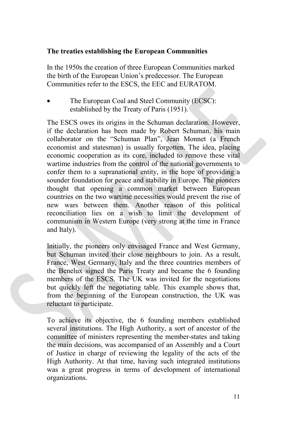### **The treaties establishing the European Communities**

In the 1950s the creation of three European Communities marked the birth of the European Union's predecessor. The European Communities refer to the ESCS, the EEC and EURATOM.

• The European Coal and Steel Community (ECSC): established by the Treaty of Paris (1951).

The ESCS owes its origins in the Schuman declaration. However, if the declaration has been made by Robert Schuman, his main collaborator on the "Schuman Plan", Jean Monnet (a French economist and statesman) is usually forgotten. The idea, placing economic cooperation as its core, included to remove these vital wartime industries from the control of the national governments to confer them to a supranational entity, in the hope of providing a sounder foundation for peace and stability in Europe. The pioneers thought that opening a common market between European countries on the two wartime necessities would prevent the rise of new wars between them. Another reason of this political reconciliation lies on a wish to limit the development of communism in Western Europe (very strong at the time in France and Italy).

Initially, the pioneers only envisaged France and West Germany, but Schuman invited their close neighbours to join. As a result, France, West Germany, Italy and the three countries members of the Benelux signed the Paris Treaty and became the 6 founding members of the ESCS. The UK was invited for the negotiations but quickly left the negotiating table. This example shows that, from the beginning of the European construction, the UK was reluctant to participate.

To achieve its objective, the 6 founding members established several institutions. The High Authority, a sort of ancestor of the committee of ministers representing the member-states and taking the main decisions, was accompanied of an Assembly and a Court of Justice in charge of reviewing the legality of the acts of the High Authority. At that time, having such integrated institutions was a great progress in terms of development of international organizations.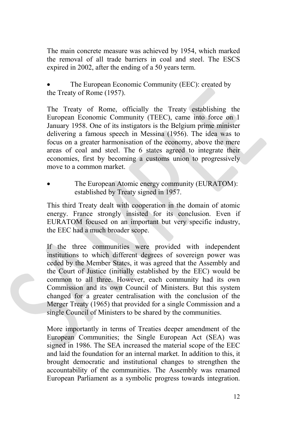The main concrete measure was achieved by 1954, which marked the removal of all trade barriers in coal and steel. The ESCS expired in 2002, after the ending of a 50 years term.

The European Economic Community (EEC): created by the Treaty of Rome (1957).

The Treaty of Rome, officially the Treaty establishing the European Economic Community (TEEC), came into force on 1 January 1958. One of its instigators is the Belgium prime minister delivering a famous speech in Messina (1956). The idea was to focus on a greater harmonisation of the economy, above the mere areas of coal and steel. The 6 states agreed to integrate their economies, first by becoming a customs union to progressively move to a common market.

The European Atomic energy community (EURATOM): established by Treaty signed in 1957.

This third Treaty dealt with cooperation in the domain of atomic energy. France strongly insisted for its conclusion. Even if EURATOM focused on an important but very specific industry, the EEC had a much broader scope.

If the three communities were provided with independent institutions to which different degrees of sovereign power was ceded by the Member States, it was agreed that the Assembly and the Court of Justice (initially established by the EEC) would be common to all three. However, each community had its own Commission and its own Council of Ministers. But this system changed for a greater centralisation with the conclusion of the Merger Treaty (1965) that provided for a single Commission and a single Council of Ministers to be shared by the communities.

More importantly in terms of Treaties deeper amendment of the European Communities; the Single European Act (SEA) was signed in 1986. The SEA increased the material scope of the EEC and laid the foundation for an internal market. In addition to this, it brought democratic and institutional changes to strengthen the accountability of the communities. The Assembly was renamed European Parliament as a symbolic progress towards integration.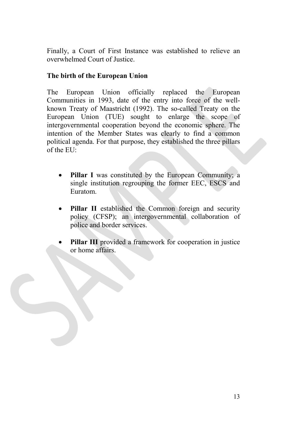Finally, a Court of First Instance was established to relieve an overwhelmed Court of Justice.

### **The birth of the European Union**

The European Union officially replaced the European Communities in 1993, date of the entry into force of the wellknown Treaty of Maastricht (1992). The so-called Treaty on the European Union (TUE) sought to enlarge the scope of intergovernmental cooperation beyond the economic sphere. The intention of the Member States was clearly to find a common political agenda. For that purpose, they established the three pillars of the EU:

- **Pillar I** was constituted by the European Community; a single institution regrouping the former EEC, ESCS and Euratom.
- Pillar II established the Common foreign and security policy (CFSP); an intergovernmental collaboration of police and border services.
- **Pillar III** provided a framework for cooperation in justice or home affairs.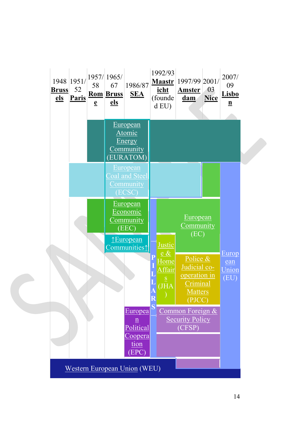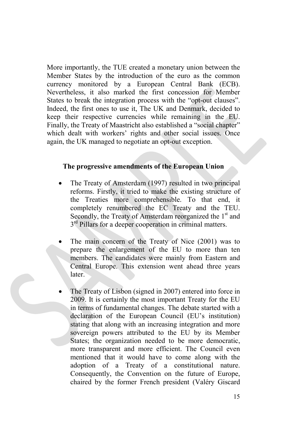More importantly, the TUE created a monetary union between the Member States by the introduction of the euro as the common currency monitored by a European Central Bank (ECB). Nevertheless, it also marked the first concession for Member States to break the integration process with the "opt-out clauses". Indeed, the first ones to use it, The UK and Denmark, decided to keep their respective currencies while remaining in the EU. Finally, the Treaty of Maastricht also established a "social chapter" which dealt with workers' rights and other social issues. Once again, the UK managed to negotiate an opt-out exception.

#### **The progressive amendments of the European Union**

- The Treaty of Amsterdam (1997) resulted in two principal reforms. Firstly, it tried to make the existing structure of the Treaties more comprehensible. To that end, it completely renumbered the EC Treaty and the TEU. Secondly, the Treaty of Amsterdam reorganized the  $1<sup>st</sup>$  and  $3<sup>rd</sup>$  Pillars for a deeper cooperation in criminal matters.
- The main concern of the Treaty of Nice (2001) was to prepare the enlargement of the EU to more than ten members. The candidates were mainly from Eastern and Central Europe. This extension went ahead three years later.
- The Treaty of Lisbon (signed in 2007) entered into force in 2009. It is certainly the most important Treaty for the EU in terms of fundamental changes. The debate started with a declaration of the European Council (EU's institution) stating that along with an increasing integration and more sovereign powers attributed to the EU by its Member States; the organization needed to be more democratic, more transparent and more efficient. The Council even mentioned that it would have to come along with the adoption of a Treaty of a constitutional nature. Consequently, the Convention on the future of Europe, chaired by the former French president (Valéry Giscard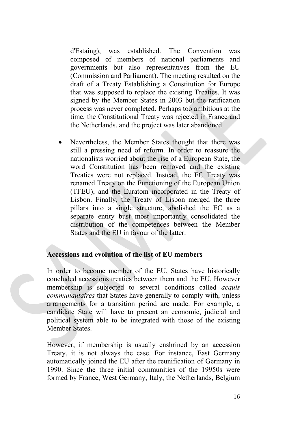d'Estaing), was established. The Convention was composed of members of national parliaments and governments but also representatives from the EU (Commission and Parliament). The meeting resulted on the draft of a Treaty Establishing a Constitution for Europe that was supposed to replace the existing Treaties. It was signed by the Member States in 2003 but the ratification process was never completed. Perhaps too ambitious at the time, the Constitutional Treaty was rejected in France and the Netherlands, and the project was later abandoned.

Nevertheless, the Member States thought that there was still a pressing need of reform. In order to reassure the nationalists worried about the rise of a European State, the word Constitution has been removed and the existing Treaties were not replaced. Instead, the EC Treaty was renamed Treaty on the Functioning of the European Union (TFEU), and the Euratom incorporated in the Treaty of Lisbon. Finally, the Treaty of Lisbon merged the three pillars into a single structure, abolished the EC as a separate entity bust most importantly consolidated the distribution of the competences between the Member States and the EU in favour of the latter.

### **Accessions and evolution of the list of EU members**

In order to become member of the EU, States have historically concluded accessions treaties between them and the EU. However membership is subjected to several conditions called *acquis communautaires* that States have generally to comply with, unless arrangements for a transition period are made. For example, a candidate State will have to present an economic, judicial and political system able to be integrated with those of the existing Member States.

However, if membership is usually enshrined by an accession Treaty, it is not always the case. For instance, East Germany automatically joined the EU after the reunification of Germany in 1990. Since the three initial communities of the 19950s were formed by France, West Germany, Italy, the Netherlands, Belgium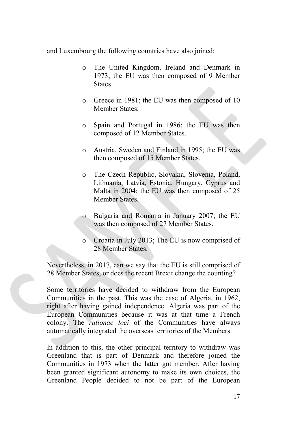and Luxembourg the following countries have also joined:

- o The United Kingdom, Ireland and Denmark in 1973; the EU was then composed of 9 Member States.
- o Greece in 1981; the EU was then composed of 10 Member States.
- o Spain and Portugal in 1986; the EU was then composed of 12 Member States.
- o Austria, Sweden and Finland in 1995; the EU was then composed of 15 Member States.
- o The Czech Republic, Slovakia, Slovenia, Poland, Lithuania, Latvia, Estonia, Hungary, Cyprus and Malta in 2004; the EU was then composed of 25 Member States.
- o Bulgaria and Romania in January 2007; the EU was then composed of 27 Member States.
- o Croatia in July 2013; The EU is now comprised of 28 Member States.

Nevertheless, in 2017, can we say that the EU is still comprised of 28 Member States, or does the recent Brexit change the counting?

Some territories have decided to withdraw from the European Communities in the past. This was the case of Algeria, in 1962, right after having gained independence. Algeria was part of the European Communities because it was at that time a French colony. The *rationae loci* of the Communities have always automatically integrated the overseas territories of the Members.

In addition to this, the other principal territory to withdraw was Greenland that is part of Denmark and therefore joined the Communities in 1973 when the latter got member. After having been granted significant autonomy to make its own choices, the Greenland People decided to not be part of the European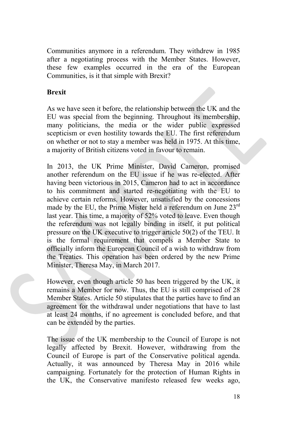Communities anymore in a referendum. They withdrew in 1985 after a negotiating process with the Member States. However, these few examples occurred in the era of the European Communities, is it that simple with Brexit?

### **Brexit**

As we have seen it before, the relationship between the UK and the EU was special from the beginning. Throughout its membership, many politicians, the media or the wider public expressed scepticism or even hostility towards the EU. The first referendum on whether or not to stay a member was held in 1975. At this time, a majority of British citizens voted in favour to remain.

In 2013, the UK Prime Minister, David Cameron, promised another referendum on the EU issue if he was re-elected. After having been victorious in 2015, Cameron had to act in accordance to his commitment and started re-negotiating with the EU to achieve certain reforms. However, unsatisfied by the concessions made by the EU, the Prime Mister held a referendum on June 23<sup>rd</sup> last year. This time, a majority of 52% voted to leave. Even though the referendum was not legally binding in itself, it put political pressure on the UK executive to trigger article 50(2) of the TEU. It is the formal requirement that compels a Member State to officially inform the European Council of a wish to withdraw from the Treaties. This operation has been ordered by the new Prime Minister, Theresa May, in March 2017.

However, even though article 50 has been triggered by the UK, it remains a Member for now. Thus, the EU is still comprised of 28 Member States. Article 50 stipulates that the parties have to find an agreement for the withdrawal under negotiations that have to last at least 24 months, if no agreement is concluded before, and that can be extended by the parties.

The issue of the UK membership to the Council of Europe is not legally affected by Brexit. However, withdrawing from the Council of Europe is part of the Conservative political agenda. Actually, it was announced by Theresa May in 2016 while campaigning. Fortunately for the protection of Human Rights in the UK, the Conservative manifesto released few weeks ago,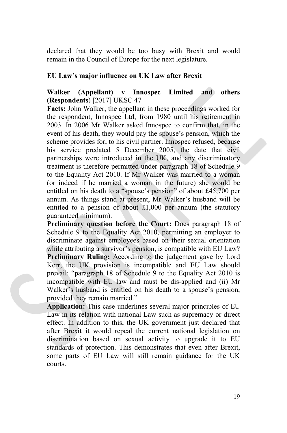declared that they would be too busy with Brexit and would remain in the Council of Europe for the next legislature.

### **EU Law's major influence on UK Law after Brexit**

### **Walker (Appellant) v Innospec Limited and others (Respondents**) [2017] UKSC 47

**Facts:** John Walker, the appellant in these proceedings worked for the respondent, Innospec Ltd, from 1980 until his retirement in 2003. In 2006 Mr Walker asked Innospec to confirm that, in the event of his death, they would pay the spouse's pension, which the scheme provides for, to his civil partner. Innospec refused, because his service predated 5 December 2005, the date that civil partnerships were introduced in the UK, and any discriminatory treatment is therefore permitted under paragraph 18 of Schedule 9 to the Equality Act 2010. If Mr Walker was married to a woman (or indeed if he married a woman in the future) she would be entitled on his death to a "spouse's pension" of about £45,700 per annum. As things stand at present, Mr Walker's husband will be entitled to a pension of about £1,000 per annum (the statutory guaranteed minimum).

Preliminary question before the Court: Does paragraph 18 of Schedule 9 to the Equality Act 2010, permitting an employer to discriminate against employees based on their sexual orientation while attributing a survivor's pension, is compatible with EU Law? **Preliminary Ruling:** According to the judgement gave by Lord Kerr, the UK provision is incompatible and EU Law should prevail: "paragraph 18 of Schedule 9 to the Equality Act 2010 is incompatible with EU law and must be dis-applied and (ii) Mr Walker's husband is entitled on his death to a spouse's pension, provided they remain married."

**Application:** This case underlines several major principles of EU Law in its relation with national Law such as supremacy or direct effect. In addition to this, the UK government just declared that after Brexit it would repeal the current national legislation on discrimination based on sexual activity to upgrade it to EU standards of protection. This demonstrates that even after Brexit, some parts of EU Law will still remain guidance for the UK courts.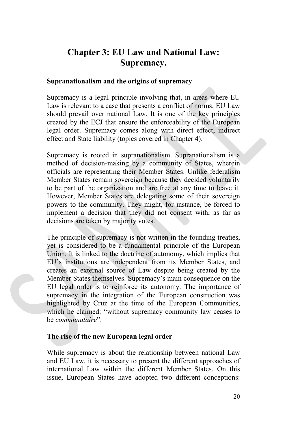### **Chapter 3: EU Law and National Law: Supremacy.**

### **Supranationalism and the origins of supremacy**

Supremacy is a legal principle involving that, in areas where EU Law is relevant to a case that presents a conflict of norms; EU Law should prevail over national Law. It is one of the key principles created by the ECJ that ensure the enforceability of the European legal order. Supremacy comes along with direct effect, indirect effect and State liability (topics covered in Chapter 4).

Supremacy is rooted in supranationalism. Supranationalism is a method of decision-making by a community of States, wherein officials are representing their Member States. Unlike federalism Member States remain sovereign because they decided voluntarily to be part of the organization and are free at any time to leave it. However, Member States are delegating some of their sovereign powers to the community. They might, for instance, be forced to implement a decision that they did not consent with, as far as decisions are taken by majority votes.

The principle of supremacy is not written in the founding treaties, yet is considered to be a fundamental principle of the European Union. It is linked to the doctrine of autonomy, which implies that EU's institutions are independent from its Member States, and creates an external source of Law despite being created by the Member States themselves. Supremacy's main consequence on the EU legal order is to reinforce its autonomy. The importance of supremacy in the integration of the European construction was highlighted by Cruz at the time of the European Communities, which he claimed: "without supremacy community law ceases to be *communataire*".

### **The rise of the new European legal order**

While supremacy is about the relationship between national Law and EU Law, it is necessary to present the different approaches of international Law within the different Member States. On this issue, European States have adopted two different conceptions: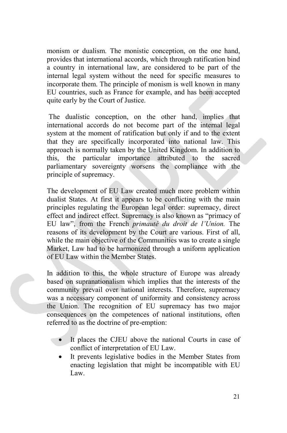monism or dualism. The monistic conception, on the one hand, provides that international accords, which through ratification bind a country in international law, are considered to be part of the internal legal system without the need for specific measures to incorporate them. The principle of monism is well known in many EU countries, such as France for example, and has been accepted quite early by the Court of Justice.

The dualistic conception, on the other hand, implies that international accords do not become part of the internal legal system at the moment of ratification but only if and to the extent that they are specifically incorporated into national law. This approach is normally taken by the United Kingdom. In addition to this, the particular importance attributed to the sacred parliamentary sovereignty worsens the compliance with the principle of supremacy.

The development of EU Law created much more problem within dualist States. At first it appears to be conflicting with the main principles regulating the European legal order: supremacy, direct effect and indirect effect. Supremacy is also known as "primacy of EU law", from the French *primauté du droit de l'Union.* The reasons of its development by the Court are various. First of all, while the main objective of the Communities was to create a single Market, Law had to be harmonized through a uniform application of EU Law within the Member States.

In addition to this, the whole structure of Europe was already based on supranationalism which implies that the interests of the community prevail over national interests. Therefore, supremacy was a necessary component of uniformity and consistency across the Union. The recognition of EU supremacy has two major consequences on the competences of national institutions, often referred to as the doctrine of pre-emption:

- It places the CJEU above the national Courts in case of conflict of interpretation of EU Law.
- It prevents legislative bodies in the Member States from enacting legislation that might be incompatible with EU Law.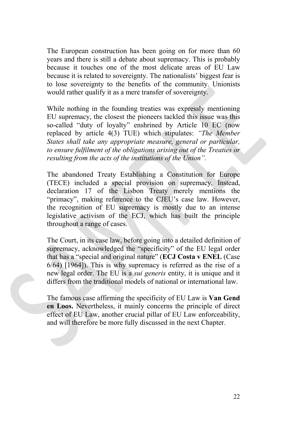The European construction has been going on for more than 60 years and there is still a debate about supremacy. This is probably because it touches one of the most delicate areas of EU Law because it is related to sovereignty. The nationalists' biggest fear is to lose sovereignty to the benefits of the community. Unionists would rather qualify it as a mere transfer of sovereignty.

While nothing in the founding treaties was expressly mentioning EU supremacy, the closest the pioneers tackled this issue was this so-called "duty of loyalty" enshrined by Article 10 EC (now replaced by article 4(3) TUE) which stipulates: *"The Member States shall take any appropriate measure, general or particular, to ensure fulfilment of the obligations arising out of the Treaties or resulting from the acts of the institutions of the Union".* 

The abandoned Treaty Establishing a Constitution for Europe (TECE) included a special provision on supremacy. Instead, declaration 17 of the Lisbon Treaty merely mentions the "primacy", making reference to the CJEU's case law. However, the recognition of EU supremacy is mostly due to an intense legislative activism of the ECJ, which has built the principle throughout a range of cases.

The Court, in its case law, before going into a detailed definition of supremacy, acknowledged the "specificity" of the EU legal order that has a "special and original nature" (**ECJ Costa v ENEL** (Case 6/64) [1964]). This is why supremacy is referred as the rise of a new legal order. The EU is a *sui generis* entity, it is unique and it differs from the traditional models of national or international law.

The famous case affirming the specificity of EU Law is **Van Gend en Loos.** Nevertheless, it mainly concerns the principle of direct effect of EU Law, another crucial pillar of EU Law enforceability, and will therefore be more fully discussed in the next Chapter.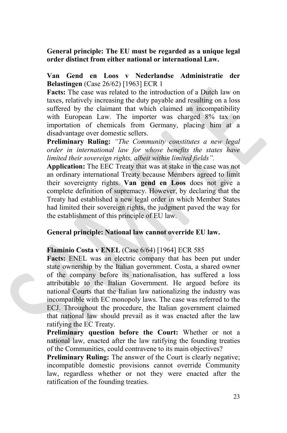### **General principle: The EU must be regarded as a unique legal order distinct from either national or international Law.**

### **Van Gend en Loos v Nederlandse Administratie der Belastingen** (Case 26/62) [1963] ECR 1

**Facts:** The case was related to the introduction of a Dutch law on taxes, relatively increasing the duty payable and resulting on a loss suffered by the claimant that which claimed an incompatibility with European Law. The importer was charged 8% tax on importation of chemicals from Germany, placing him at a disadvantage over domestic sellers.

**Preliminary Ruling:** *"The Community constitutes a new legal order in international law for whose benefits the states have limited their sovereign rights, albeit within limited fields".*

**Application:** The EEC Treaty that was at stake in the case was not an ordinary international Treaty because Members agreed to limit their sovereignty rights. **Van gend en Loos** does not give a complete definition of supremacy. However, by declaring that the Treaty had established a new legal order in which Member States had limited their sovereign rights, the judgment paved the way for the establishment of this principle of EU law.

### **General principle: National law cannot override EU law.**

#### **Flaminio Costa v ENEL** (Case 6/64) [1964] ECR 585

Facts: ENEL was an electric company that has been put under state ownership by the Italian government. Costa, a shared owner of the company before its nationalisation, has suffered a loss attributable to the Italian Government. He argued before its national Courts that the Italian law nationalizing the industry was incompatible with EC monopoly laws. The case was referred to the ECJ. Throughout the procedure, the Italian government claimed that national law should prevail as it was enacted after the law ratifying the EC Treaty.

**Preliminary question before the Court:** Whether or not a national law, enacted after the law ratifying the founding treaties of the Communities, could contravene to its main objectives?

**Preliminary Ruling:** The answer of the Court is clearly negative; incompatible domestic provisions cannot override Community law, regardless whether or not they were enacted after the ratification of the founding treaties.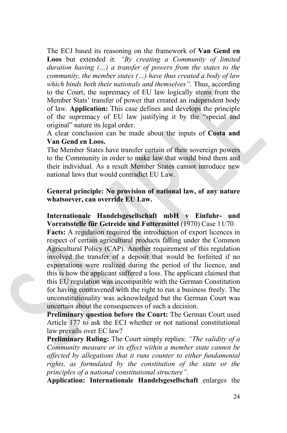The ECJ based its reasoning on the framework of **Van Gend en Loos** but extended it: *"By creating a Community of limited duration having (…) a transfer of powers from the states to the community, the member states (…) have thus created a body of law which binds both their nationals and themselves".* Thus, according to the Court, the supremacy of EU law logically stems from the Member Stats' transfer of power that created an independent body of law. **Application:** This case defines and develops the principle of the supremacy of EU law justifying it by the "special and original" nature its legal order.

A clear conclusion can be made about the inputs of **Costa and Van Gend en Loos.** 

The Member States have transfer certain of their sovereign powers to the Community in order to make law that would bind them and their individual. As a result Member States cannot introduce new national laws that would contradict EU Law.

### **General principle: No provision of national law, of any nature whatsoever, can override EU Law.**

**Internationale Handelsgesellschaft mbH v Einfuhr- und Vorratsstelle für Getreide und Futtermittel** (1970) Case 11/70

**Facts:** A regulation required the introduction of export licences in respect of certain agricultural products falling under the Common Agricultural Policy (CAP). Another requirement of this regulation involved the transfer of a deposit that would be forfeited if no exportations were realized during the period of the licence, and this is how the applicant suffered a loss. The applicant claimed that this EU regulation was incompatible with the German Constitution for having contravened with the right to run a business freely. The unconstitutionality was acknowledged but the German Court was uncertain about the consequences of such a decision.

**Preliminary question before the Court:** The German Court used Article 177 to ask the ECJ whether or not national constitutional law prevails over EC law?

**Preliminary Ruling:** The Court simply replies: *"The validity of a Community measure or its effect within a member state cannot be affected by allegations that it runs counter to either fundamental rights, as formulated by the constitution of the state or the principles of a national constitutional structure".*

**Application: Internationale Handelsgesellschaft** enlarges the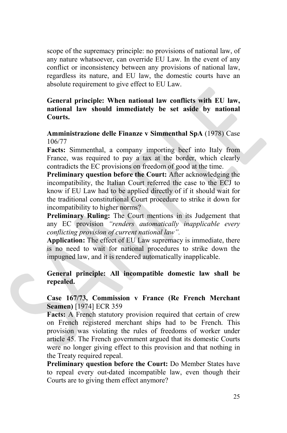scope of the supremacy principle: no provisions of national law, of any nature whatsoever, can override EU Law. In the event of any conflict or inconsistency between any provisions of national law, regardless its nature, and EU law, the domestic courts have an absolute requirement to give effect to EU Law.

### **General principle: When national law conflicts with EU law, national law should immediately be set aside by national Courts.**

### **Amministrazione delle Finanze v Simmenthal SpA** (1978) Case 106/77

**Facts:** Simmenthal, a company importing beef into Italy from France, was required to pay a tax at the border, which clearly contradicts the EC provisions on freedom of good at the time.

**Preliminary question before the Court:** After acknowledging the incompatibility, the Italian Court referred the case to the ECJ to know if EU Law had to be applied directly of if it should wait for the traditional constitutional Court procedure to strike it down for incompatibility to higher norms?

**Preliminary Ruling:** The Court mentions in its Judgement that any EC provision *"renders automatically inapplicable every conflicting provision of current national law".* 

**Application:** The effect of EU Law supremacy is immediate, there is no need to wait for national procedures to strike down the impugned law, and it is rendered automatically inapplicable.

**General principle: All incompatible domestic law shall be repealed.** 

### **Case 167/73, Commission v France (Re French Merchant Seamen)** [1974] ECR 359

**Facts:** A French statutory provision required that certain of crew on French registered merchant ships had to be French. This provision was violating the rules of freedoms of worker under article 45. The French government argued that its domestic Courts were no longer giving effect to this provision and that nothing in the Treaty required repeal.

**Preliminary question before the Court:** Do Member States have to repeal every out-dated incompatible law, even though their Courts are to giving them effect anymore?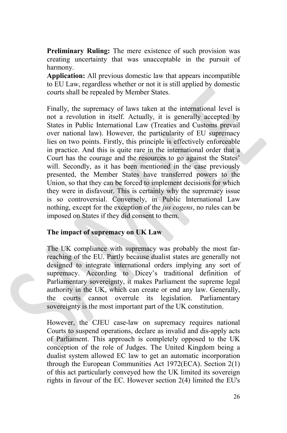**Preliminary Ruling:** The mere existence of such provision was creating uncertainty that was unacceptable in the pursuit of harmony.

**Application:** All previous domestic law that appears incompatible to EU Law, regardless whether or not it is still applied by domestic courts shall be repealed by Member States.

Finally, the supremacy of laws taken at the international level is not a revolution in itself. Actually, it is generally accepted by States in Public International Law (Treaties and Customs prevail over national law). However, the particularity of EU supremacy lies on two points. Firstly, this principle is effectively enforceable in practice. And this is quite rare in the international order that a Court has the courage and the resources to go against the States' will. Secondly, as it has been mentioned in the case previously presented, the Member States have transferred powers to the Union, so that they can be forced to implement decisions for which they were in disfavour. This is certainly why the supremacy issue is so controversial. Conversely, in Public International Law nothing, except for the exception of the *jus cogens*, no rules can be imposed on States if they did consent to them.

### **The impact of supremacy on UK Law**

The UK compliance with supremacy was probably the most farreaching of the EU. Partly because dualist states are generally not designed to integrate international orders implying any sort of supremacy. According to Dicey's traditional definition of Parliamentary sovereignty, it makes Parliament the supreme legal authority in the UK, which can create or end any law. Generally, the courts cannot overrule its legislation. Parliamentary sovereignty is the most important part of the UK constitution.

However, the CJEU case-law on supremacy requires national Courts to suspend operations, declare as invalid and dis-apply acts of Parliament. This approach is completely opposed to the UK conception of the role of Judges. The United Kingdom being a dualist system allowed EC law to get an automatic incorporation through the European Communities Act 1972(ECA). Section 2(1) of this act particularly conveyed how the UK limited its sovereign rights in favour of the EC. However section 2(4) limited the EU's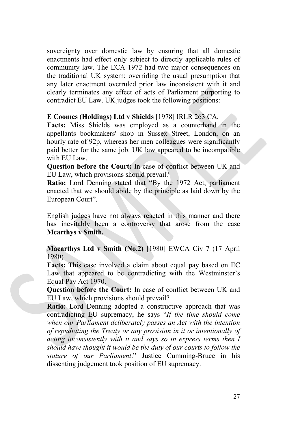sovereignty over domestic law by ensuring that all domestic enactments had effect only subject to directly applicable rules of community law. The ECA 1972 had two major consequences on the traditional UK system: overriding the usual presumption that any later enactment overruled prior law inconsistent with it and clearly terminates any effect of acts of Parliament purporting to contradict EU Law. UK judges took the following positions:

### **E Coomes (Holdings) Ltd v Shields** [1978] IRLR 263 CA,

**Facts:** Miss Shields was employed as a counterhand in the appellants bookmakers' shop in Sussex Street, London, on an hourly rate of 92p, whereas her men colleagues were significantly paid better for the same job. UK law appeared to be incompatible with EU Law.

**Question before the Court:** In case of conflict between UK and EU Law, which provisions should prevail?

**Ratio:** Lord Denning stated that "By the 1972 Act, parliament enacted that we should abide by the principle as laid down by the European Court".

English judges have not always reacted in this manner and there has inevitably been a controversy that arose from the case **Mcarthys v Smith.**

**Macarthys Ltd v Smith (No.2)** [1980] EWCA Civ 7 (17 April 1980)

**Facts:** This case involved a claim about equal pay based on EC Law that appeared to be contradicting with the Westminster's Equal Pay Act 1970.

**Question before the Court:** In case of conflict between UK and EU Law, which provisions should prevail?

**Ratio:** Lord Denning adopted a constructive approach that was contradicting EU supremacy, he says "*If the time should come when our Parliament deliberately passes an Act with the intention of repudiating the Treaty or any provision in it or intentionally of acting inconsistently with it and says so in express terms then I should have thought it would be the duty of our courts to follow the stature of our Parliament*." Justice Cumming-Bruce in his dissenting judgement took position of EU supremacy.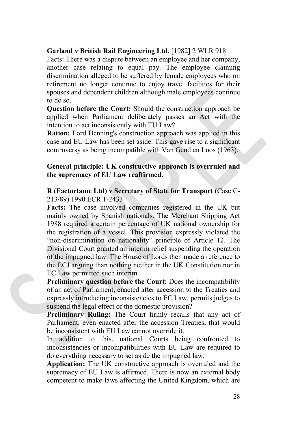### **Garland v British Rail Engineering Ltd.** [1982] 2 WLR 918

Facts: There was a dispute between an employee and her company, another case relating to equal pay. The employee claiming discrimination alleged to be suffered by female employees who on retirement no longer continue to enjoy travel facilities for their spouses and dependent children although male employees continue to do so.

**Question before the Court:** Should the construction approach be applied when Parliament deliberately passes an Act with the intention to act inconsistently with EU Law?

**Ration:** Lord Denning's construction approach was applied in this case and EU Law has been set aside. This gave rise to a significant controversy as being incompatible with Van Gend en Loos (1963).

### **General principle: UK constructive approach is overruled and the supremacy of EU Law reaffirmed.**

### **R (Factortame Ltd) v Secretary of State for Transport** (Case C-213/89) 1990 ECR 1-2433

**Facts:** The case involved companies registered in the UK but mainly owned by Spanish nationals. The Merchant Shipping Act 1988 required a certain percentage of UK national ownership for the registration of a vessel. This provision expressly violated the "non-discrimination on nationality" principle of Article 12. The Divisional Court granted an interim relief suspending the operation of the impugned law. The House of Lords then made a reference to the ECJ arguing than nothing neither in the UK Constitution nor in EC Law permitted such interim.

**Preliminary question before the Court:** Does the incompatibility of an act of Parliament, enacted after accession to the Treaties and expressly introducing inconsistencies to EC Law, permits judges to suspend the legal effect of the domestic provision?

**Preliminary Ruling:** The Court firmly recalls that any act of Parliament, even enacted after the accession Treaties, that would be inconsistent with EU Law cannot override it.

In addition to this, national Courts being confronted to inconsistencies or incompatibilities with EU Law are required to do everything necessary to set aside the impugned law.

**Application:** The UK constructive approach is overruled and the supremacy of EU Law is affirmed. There is now an external body competent to make laws affecting the United Kingdom, which are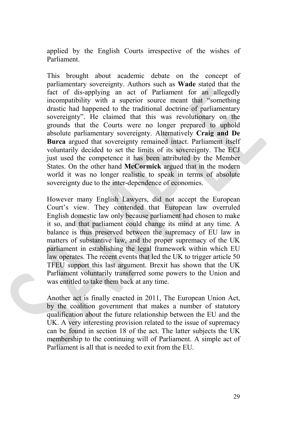applied by the English Courts irrespective of the wishes of Parliament.

This brought about academic debate on the concept of parliamentary sovereignty. Authors such as **Wade** stated that the fact of dis-applying an act of Parliament for an allegedly incompatibility with a superior source meant that "something drastic had happened to the traditional doctrine of parliamentary sovereignty". He claimed that this was revolutionary on the grounds that the Courts were no longer prepared to uphold absolute parliamentary sovereignty. Alternatively **Craig and De Burca** argued that sovereignty remained intact. Parliament itself voluntarily decided to set the limits of its sovereignty. The ECJ just used the competence it has been attributed by the Member States. On the other hand **McCormick** argued that in the modern world it was no longer realistic to speak in terms of absolute sovereignty due to the inter-dependence of economies.

However many English Lawyers, did not accept the European Court's view. They contended that European law overruled English domestic law only because parliament had chosen to make it so, and that parliament could change its mind at any time. A balance is thus preserved between the supremacy of EU law in matters of substantive law, and the proper supremacy of the UK parliament in establishing the legal framework within which EU law operates. The recent events that led the UK to trigger article 50 TFEU support this last argument. Brexit has shown that the UK Parliament voluntarily transferred some powers to the Union and was entitled to take them back at any time.

Another act is finally enacted in 2011, The European Union Act, by the coalition government that makes a number of statutory qualification about the future relationship between the EU and the UK. A very interesting provision related to the issue of supremacy can be found in section 18 of the act. The latter subjects the UK membership to the continuing will of Parliament. A simple act of Parliament is all that is needed to exit from the EU.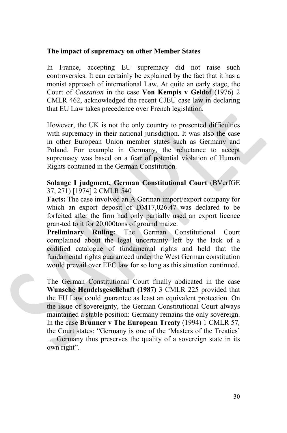### **The impact of supremacy on other Member States**

In France, accepting EU supremacy did not raise such controversies. It can certainly be explained by the fact that it has a monist approach of international Law. At quite an early stage, the Court of *Cassation* in the case **Von Kempis v Geldof** (1976) 2 CMLR 462, acknowledged the recent CJEU case law in declaring that EU Law takes precedence over French legislation.

However, the UK is not the only country to presented difficulties with supremacy in their national jurisdiction. It was also the case in other European Union member states such as Germany and Poland. For example in Germany, the reluctance to accept supremacy was based on a fear of potential violation of Human Rights contained in the German Constitution.

### **Solange I judgment, German Constitutional Court** (BVerfGE 37, 271) [1974] 2 CMLR 540

**Facts:** The case involved an A German import/export company for which an export deposit of DM17,026.47 was declared to be forfeited after the firm had only partially used an export licence gran-ted to it for 20,000tons of ground maize.

**Preliminary Ruling:** The German Constitutional Court complained about the legal uncertainty left by the lack of a codified catalogue of fundamental rights and held that the fundamental rights guaranteed under the West German constitution would prevail over EEC law for so long as this situation continued.

The German Constitutional Court finally abdicated in the case **Wunsche Hendelsgesellchaft (1987)** 3 CMLR 225 provided that the EU Law could guarantee as least an equivalent protection. On the issue of sovereignty, the German Constitutional Court always maintained a stable position: Germany remains the only sovereign. In the case **Brunner v The European Treaty** (1994) 1 CMLR 57*,*  the Court states: "Germany is one of the 'Masters of the Treaties' … Germany thus preserves the quality of a sovereign state in its own right".